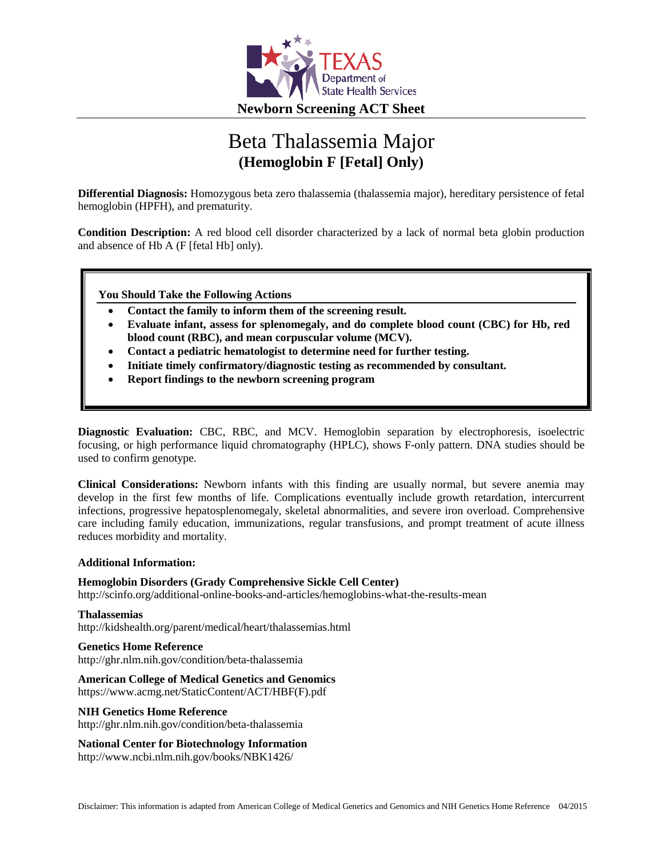

# Beta Thalassemia Major **(Hemoglobin F [Fetal] Only)**

**Differential Diagnosis:** Homozygous beta zero thalassemia (thalassemia major), hereditary persistence of fetal hemoglobin (HPFH), and prematurity.

**Condition Description:** A red blood cell disorder characterized by a lack of normal beta globin production and absence of Hb A (F [fetal Hb] only).

**You Should Take the Following Actions**

- **Contact the family to inform them of the screening result.**
- **Evaluate infant, assess for splenomegaly, and do complete blood count (CBC) for Hb, red blood count (RBC), and mean corpuscular volume (MCV).**
- **Contact a pediatric hematologist to determine need for further testing.**
- **Initiate timely confirmatory/diagnostic testing as recommended by consultant.**
- **Report findings to the newborn screening program**

**Diagnostic Evaluation:** CBC, RBC, and MCV. Hemoglobin separation by electrophoresis, isoelectric focusing, or high performance liquid chromatography (HPLC), shows F-only pattern. DNA studies should be used to confirm genotype.

**Clinical Considerations:** Newborn infants with this finding are usually normal, but severe anemia may develop in the first few months of life. Complications eventually include growth retardation, intercurrent infections, progressive hepatosplenomegaly, skeletal abnormalities, and severe iron overload. Comprehensive care including family education, immunizations, regular transfusions, and prompt treatment of acute illness reduces morbidity and mortality.

#### **Additional Information:**

#### **Hemoglobin Disorders (Grady Comprehensive Sickle Cell Center)**

http://scinfo.org/additional-online-books-and-articles/hemoglobins-what-the-results-mean

**Thalassemias** http://kidshealth.org/parent/medical/heart/thalassemias.html

#### **Genetics Home Reference**

http://ghr.nlm.nih.gov/condition/beta-thalassemia

# **American College of Medical Genetics and Genomics**

https://www.acmg.net/StaticContent/ACT/HBF(F).pdf

#### **NIH Genetics Home Reference**

http://ghr.nlm.nih.gov/condition/beta-thalassemia

#### **National Center for Biotechnology Information**

http://www.ncbi.nlm.nih.gov/books/NBK1426/